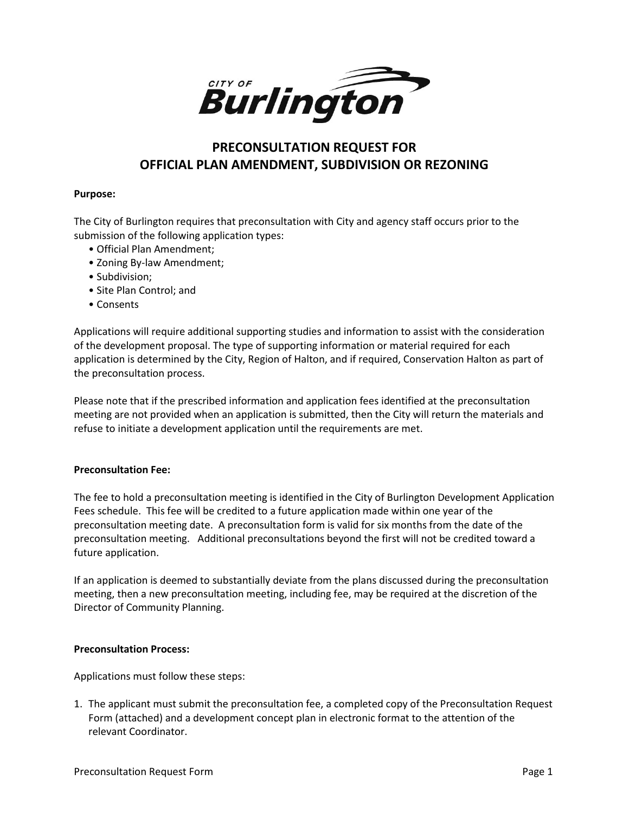

## **PRECONSULTATION REQUEST FOR OFFICIAL PLAN AMENDMENT, SUBDIVISION OR REZONING**

#### **Purpose:**

The City of Burlington requires that preconsultation with City and agency staff occurs prior to the submission of the following application types:

- Official Plan Amendment;
- Zoning By-law Amendment;
- Subdivision;
- Site Plan Control; and
- Consents

Applications will require additional supporting studies and information to assist with the consideration of the development proposal. The type of supporting information or material required for each application is determined by the City, Region of Halton, and if required, Conservation Halton as part of the preconsultation process.

Please note that if the prescribed information and application fees identified at the preconsultation meeting are not provided when an application is submitted, then the City will return the materials and refuse to initiate a development application until the requirements are met.

### **Preconsultation Fee:**

The fee to hold a preconsultation meeting is identified in the City of Burlington Development Application Fees schedule. This fee will be credited to a future application made within one year of the preconsultation meeting date. A preconsultation form is valid for six months from the date of the preconsultation meeting. Additional preconsultations beyond the first will not be credited toward a future application.

If an application is deemed to substantially deviate from the plans discussed during the preconsultation meeting, then a new preconsultation meeting, including fee, may be required at the discretion of the Director of Community Planning.

### **Preconsultation Process:**

Applications must follow these steps:

1. The applicant must submit the preconsultation fee, a completed copy of the Preconsultation Request Form (attached) and a development concept plan in electronic format to the attention of the relevant Coordinator.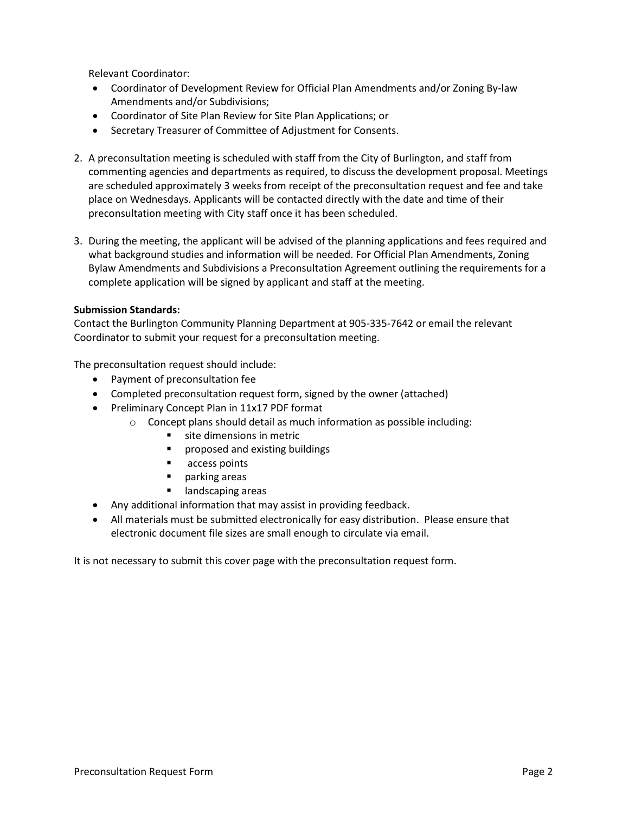Relevant Coordinator:

- Coordinator of Development Review for Official Plan Amendments and/or Zoning By-law Amendments and/or Subdivisions;
- Coordinator of Site Plan Review for Site Plan Applications; or
- Secretary Treasurer of Committee of Adjustment for Consents.
- 2. A preconsultation meeting is scheduled with staff from the City of Burlington, and staff from commenting agencies and departments as required, to discuss the development proposal. Meetings are scheduled approximately 3 weeks from receipt of the preconsultation request and fee and take place on Wednesdays. Applicants will be contacted directly with the date and time of their preconsultation meeting with City staff once it has been scheduled.
- 3. During the meeting, the applicant will be advised of the planning applications and fees required and what background studies and information will be needed. For Official Plan Amendments, Zoning Bylaw Amendments and Subdivisions a Preconsultation Agreement outlining the requirements for a complete application will be signed by applicant and staff at the meeting.

### **Submission Standards:**

Contact the Burlington Community Planning Department at 905-335-7642 or email the relevant Coordinator to submit your request for a preconsultation meeting.

The preconsultation request should include:

- Payment of preconsultation fee
- Completed preconsultation request form, signed by the owner (attached)
- Preliminary Concept Plan in 11x17 PDF format
	- o Concept plans should detail as much information as possible including:
		- site dimensions in metric
		- proposed and existing buildings
		- access points
		- parking areas
		- landscaping areas
- Any additional information that may assist in providing feedback.
- All materials must be submitted electronically for easy distribution. Please ensure that electronic document file sizes are small enough to circulate via email.

It is not necessary to submit this cover page with the preconsultation request form.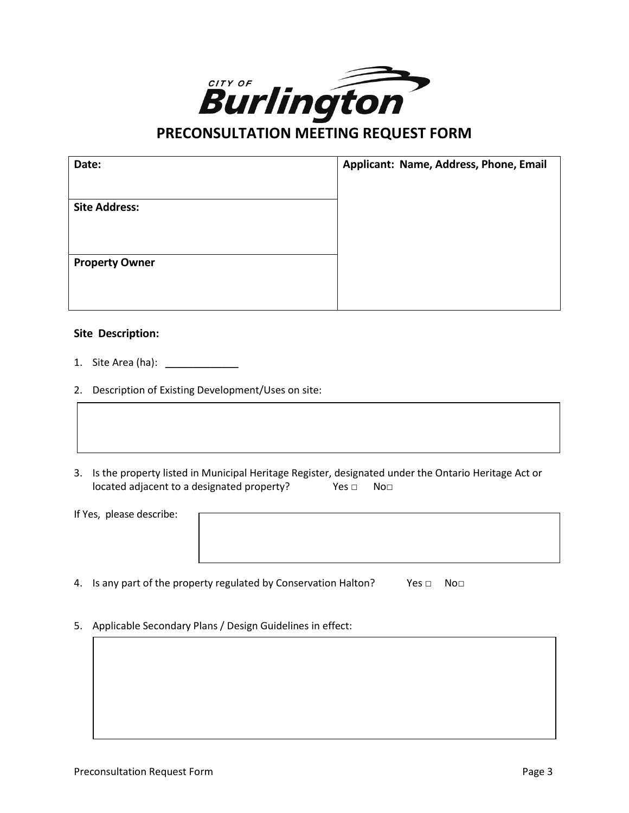

# **PRECONSULTATION MEETING REQUEST FORM**

| Date:                 | Applicant: Name, Address, Phone, Email |
|-----------------------|----------------------------------------|
| <b>Site Address:</b>  |                                        |
| <b>Property Owner</b> |                                        |

### **Site Description:**

- 1. Site Area (ha): \_\_\_\_\_\_\_\_\_\_\_\_\_\_
- 2. Description of Existing Development/Uses on site:
- 3. Is the property listed in Municipal Heritage Register, designated under the Ontario Heritage Act or located adjacent to a designated property? Yes □ No□

| If Yes, please describe: |  |
|--------------------------|--|
|                          |  |
|                          |  |
|                          |  |
|                          |  |
|                          |  |

- 4. Is any part of the property regulated by Conservation Halton? Yes □ No□
- 5. Applicable Secondary Plans / Design Guidelines in effect: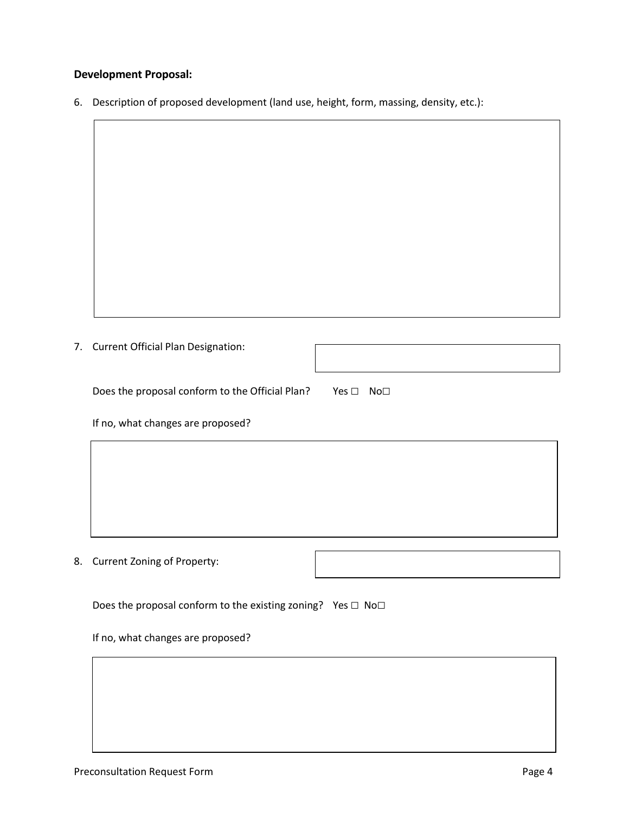### **Development Proposal:**

 $\sqrt{ }$ 

6. Description of proposed development (land use, height, form, massing, density, etc.):

| 7. | <b>Current Official Plan Designation:</b>                                    |
|----|------------------------------------------------------------------------------|
|    | Does the proposal conform to the Official Plan?<br>Yes □ No□                 |
|    | If no, what changes are proposed?                                            |
|    |                                                                              |
|    |                                                                              |
|    |                                                                              |
| 8. | Current Zoning of Property:                                                  |
|    | Does the proposal conform to the existing zoning? Yes $\square$ No $\square$ |
|    | If no, what changes are proposed?                                            |